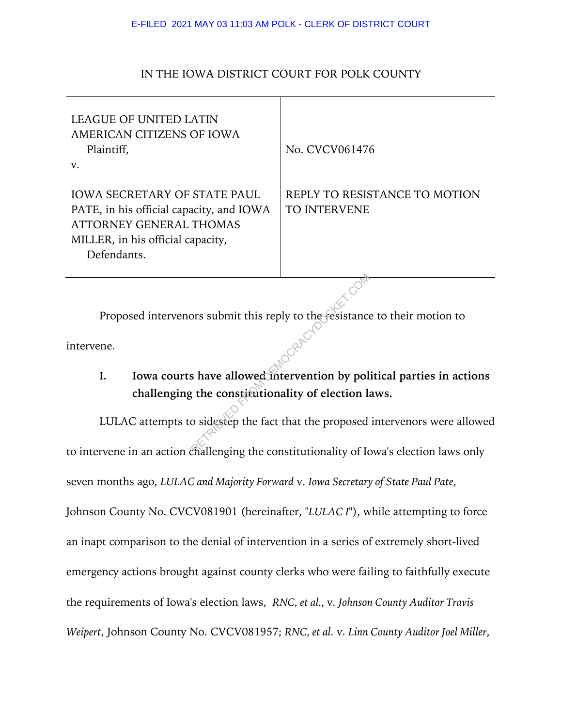## IN THE IOWA DISTRICT COURT FOR POLK COUNTY

| <b>LEAGUE OF UNITED LATIN</b><br>AMERICAN CITIZENS OF IOWA<br>Plaintiff,<br>V.                                                                                        | No. CVCV061476                                       |
|-----------------------------------------------------------------------------------------------------------------------------------------------------------------------|------------------------------------------------------|
| <b>IOWA SECRETARY OF STATE PAUL</b><br>PATE, in his official capacity, and IOWA<br><b>ATTORNEY GENERAL THOMAS</b><br>MILLER, in his official capacity,<br>Defendants. | REPLY TO RESISTANCE TO MOTION<br><b>TO INTERVENE</b> |

Proposed intervenors submit this reply to the resistance to their motion to

intervene.

## **I. Iowa courts have allowed intervention by political parties in actions challenging the constitutionality of election laws.**

 LULAC attempts to sidestep the fact that the proposed intervenors were allowed to intervene in an action challenging the constitutionality of Iowa's election laws only seven months ago, *LULAC and Majority Forward* v. *Iowa Secretary of State Paul Pate*, Johnson County No. CVCV081901 (hereinafter, "*LULAC I*"), while attempting to force an inapt comparison to the denial of intervention in a series of extremely short-lived emergency actions brought against county clerks who were failing to faithfully execute the requirements of Iowa's election laws, *RNC, et al.,* v. *Johnson County Auditor Travis Weipert*, Johnson County No. CVCV081957; *RNC, et al.* v. *Linn County Auditor Joel Miller*, FROM DEMOCRATIC SUBSEXIES SUBDITERTRIEF OF STATE SUBSEXED THE CONSTITUTION OF THE CONSTITUTION OF THE CONSTITUTION OF THE CONSTITUTION OF THE CONSTITUTION OF THE CONSTITUTION OF THE CONSTITUTION OF THE CONSTITUTION OF THE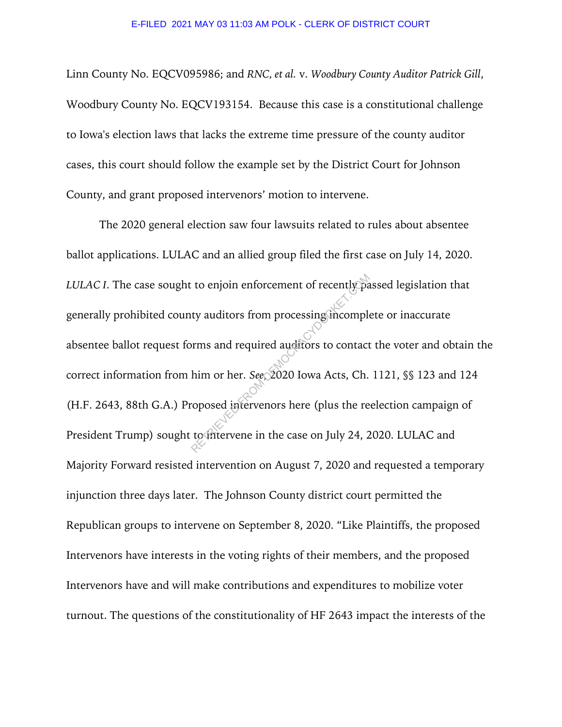Linn County No. EQCV095986; and *RNC, et al.* v. *Woodbury County Auditor Patrick Gill*, Woodbury County No. EQCV193154. Because this case is a constitutional challenge to Iowa's election laws that lacks the extreme time pressure of the county auditor cases, this court should follow the example set by the District Court for Johnson County, and grant proposed intervenors' motion to intervene.

 The 2020 general election saw four lawsuits related to rules about absentee ballot applications. LULAC and an allied group filed the first case on July 14, 2020. *LULAC I*. The case sought to enjoin enforcement of recently passed legislation that generally prohibited county auditors from processing incomplete or inaccurate absentee ballot request forms and required auditors to contact the voter and obtain the correct information from him or her. *See*, 2020 Iowa Acts, Ch. 1121, §§ 123 and 124 (H.F. 2643, 88th G.A.) Proposed intervenors here (plus the reelection campaign of President Trump) sought to intervene in the case on July 24, 2020. LULAC and Majority Forward resisted intervention on August 7, 2020 and requested a temporary injunction three days later. The Johnson County district court permitted the Republican groups to intervene on September 8, 2020. "Like Plaintiffs, the proposed Intervenors have interests in the voting rights of their members, and the proposed Intervenors have and will make contributions and expenditures to mobilize voter turnout. The questions of the constitutionality of HF 2643 impact the interests of the rty auditors from processing incompletions to contact<br>thim or her. See, 2020 Iowa Acts, Ch.<br>coposed intervenors here (plus the re-<br>to fintervene in the case on July 24, 2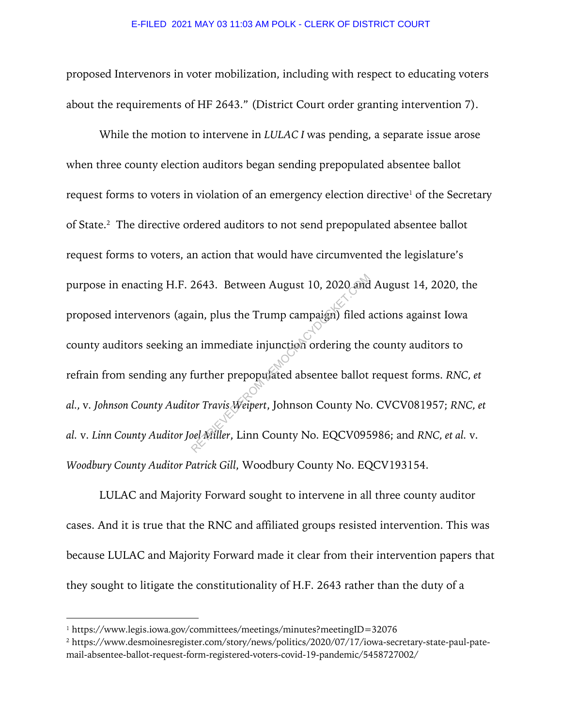proposed Intervenors in voter mobilization, including with respect to educating voters about the requirements of HF 2643." (District Court order granting intervention 7).

 While the motion to intervene in *LULAC I* was pending, a separate issue arose when three county election auditors began sending prepopulated absentee ballot request forms to voters in violation of an emergency election directive<sup>1</sup> of the Secretary of State.2 The directive ordered auditors to not send prepopulated absentee ballot request forms to voters, an action that would have circumvented the legislature's purpose in enacting H.F. 2643. Between August 10, 2020 and August 14, 2020, the proposed intervenors (again, plus the Trump campaign) filed actions against Iowa county auditors seeking an immediate injunction ordering the county auditors to refrain from sending any further prepopulated absentee ballot request forms. *RNC, et al.,* v. *Johnson County Auditor Travis Weipert*, Johnson County No. CVCV081957; *RNC, et al.* v. *Linn County Auditor Joel Miller*, Linn County No. EQCV095986; and *RNC, et al.* v. *Woodbury County Auditor Patrick Gill*, Woodbury County No. EQCV193154. 2643. Between August 10, 2020 and<br>
ain, plus the Trump campaign) filed<br>
n immediate injunction ordering the<br>
further prepopulated absentee ballot<br>
or Travis Weipert, Johnson County No<br>
bel Miller, Linn County No. EQCV095

 LULAC and Majority Forward sought to intervene in all three county auditor cases. And it is true that the RNC and affiliated groups resisted intervention. This was because LULAC and Majority Forward made it clear from their intervention papers that they sought to litigate the constitutionality of H.F. 2643 rather than the duty of a

<sup>&</sup>lt;sup>1</sup> https://www.legis.iowa.gov/committees/meetings/minutes?meetingID=32076

<sup>2</sup> https://www.desmoinesregister.com/story/news/politics/2020/07/17/iowa-secretary-state-paul-patemail-absentee-ballot-request-form-registered-voters-covid-19-pandemic/5458727002/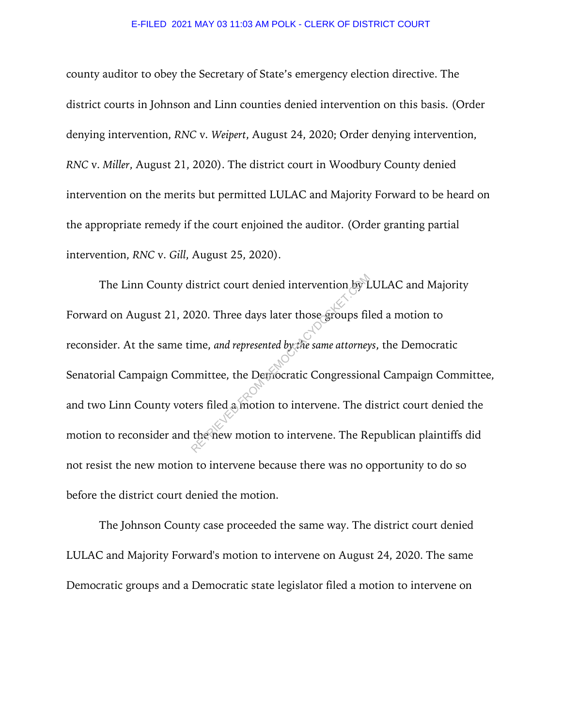## E-FILED 2021 MAY 03 11:03 AM POLK - CLERK OF DISTRICT COURT

county auditor to obey the Secretary of State's emergency election directive. The district courts in Johnson and Linn counties denied intervention on this basis. (Order denying intervention, *RNC* v. *Weipert*, August 24, 2020; Order denying intervention, *RNC* v. *Miller*, August 21, 2020). The district court in Woodbury County denied intervention on the merits but permitted LULAC and Majority Forward to be heard on the appropriate remedy if the court enjoined the auditor. (Order granting partial intervention, *RNC* v. *Gill*, August 25, 2020).

 The Linn County district court denied intervention by LULAC and Majority Forward on August 21, 2020. Three days later those groups filed a motion to reconsider. At the same time, *and represented by the same attorneys*, the Democratic Senatorial Campaign Committee, the Democratic Congressional Campaign Committee, and two Linn County voters filed a motion to intervene. The district court denied the motion to reconsider and the new motion to intervene. The Republican plaintiffs did not resist the new motion to intervene because there was no opportunity to do so before the district court denied the motion. listrict court denied intervention by L<br>
2020. Three days later those groups fil<br>
ime, and represented by the same attorney<br>
muittee, the Democratic Congression<br>
ers filed a motion to intervene. The d<br>
the new motion to in

 The Johnson County case proceeded the same way. The district court denied LULAC and Majority Forward's motion to intervene on August 24, 2020. The same Democratic groups and a Democratic state legislator filed a motion to intervene on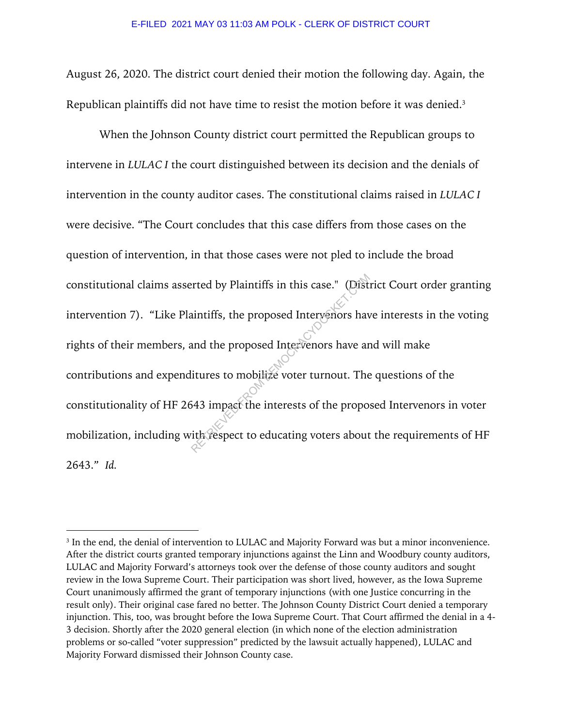August 26, 2020. The district court denied their motion the following day. Again, the Republican plaintiffs did not have time to resist the motion before it was denied.3

 When the Johnson County district court permitted the Republican groups to intervene in *LULAC I* the court distinguished between its decision and the denials of intervention in the county auditor cases. The constitutional claims raised in *LULAC I* were decisive. "The Court concludes that this case differs from those cases on the question of intervention, in that those cases were not pled to include the broad constitutional claims asserted by Plaintiffs in this case." (District Court order granting intervention 7). "Like Plaintiffs, the proposed Intervenors have interests in the voting rights of their members, and the proposed Intervenors have and will make contributions and expenditures to mobilize voter turnout. The questions of the constitutionality of HF 2643 impact the interests of the proposed Intervenors in voter mobilization, including with respect to educating voters about the requirements of HF 2643." *Id.*  Plaintiffs in this case." (Dist.<br>
intiffs, the proposed Intervenors have and the proposed Intervenors have and<br>
itures to mobilize voter turnout. The<br>
italy impact the interests of the propositive respect to educating vote

<sup>3</sup> In the end, the denial of intervention to LULAC and Majority Forward was but a minor inconvenience. After the district courts granted temporary injunctions against the Linn and Woodbury county auditors, LULAC and Majority Forward's attorneys took over the defense of those county auditors and sought review in the Iowa Supreme Court. Their participation was short lived, however, as the Iowa Supreme Court unanimously affirmed the grant of temporary injunctions (with one Justice concurring in the result only). Their original case fared no better. The Johnson County District Court denied a temporary injunction. This, too, was brought before the Iowa Supreme Court. That Court affirmed the denial in a 4- 3 decision. Shortly after the 2020 general election (in which none of the election administration problems or so-called "voter suppression" predicted by the lawsuit actually happened), LULAC and Majority Forward dismissed their Johnson County case.